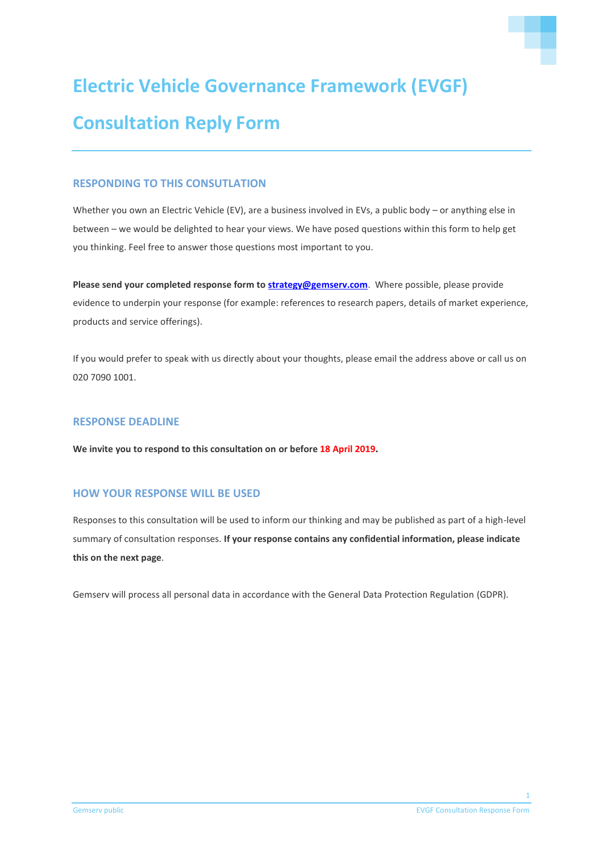

# **Consultation Reply Form**

# **RESPONDING TO THIS CONSUTLATION**

Whether you own an Electric Vehicle (EV), are a business involved in EVs, a public body – or anything else in between – we would be delighted to hear your views. We have posed questions within this form to help get you thinking. Feel free to answer those questions most important to you.

**Please send your completed response form t[o strategy@gemserv.com](mailto:strategy@gemserv.com)**. Where possible, please provide evidence to underpin your response (for example: references to research papers, details of market experience, products and service offerings).

If you would prefer to speak with us directly about your thoughts, please email the address above or call us on 020 7090 1001.

# **RESPONSE DEADLINE**

**We invite you to respond to this consultation on or before 18 April 2019.**

# **HOW YOUR RESPONSE WILL BE USED**

Responses to this consultation will be used to inform our thinking and may be published as part of a high-level summary of consultation responses. **If your response contains any confidential information, please indicate this on the next page**.

Gemserv will process all personal data in accordance with the General Data Protection Regulation (GDPR).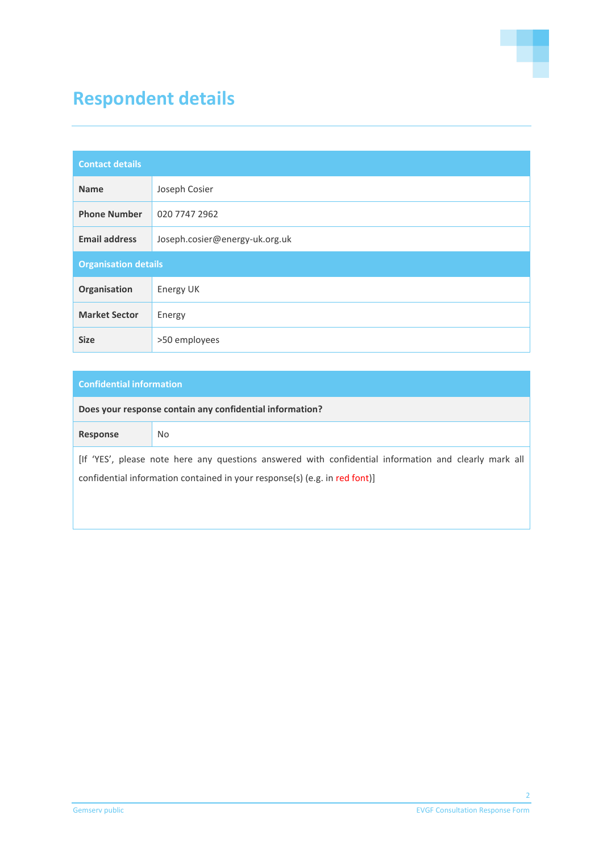

# **Respondent details**

| <b>Contact details</b>      |                                |
|-----------------------------|--------------------------------|
| <b>Name</b>                 | Joseph Cosier                  |
| <b>Phone Number</b>         | 020 7747 2962                  |
| <b>Email address</b>        | Joseph.cosier@energy-uk.org.uk |
| <b>Organisation details</b> |                                |
| Organisation                | Energy UK                      |
| <b>Market Sector</b>        | Energy                         |
| <b>Size</b>                 | >50 employees                  |

# **Confidential information**

**Does your response contain any confidential information?**

| Response                                                                                              | No. |
|-------------------------------------------------------------------------------------------------------|-----|
| [If 'YES', please note here any questions answered with confidential information and clearly mark all |     |
| confidential information contained in your response(s) (e.g. in red font)]                            |     |
|                                                                                                       |     |
|                                                                                                       |     |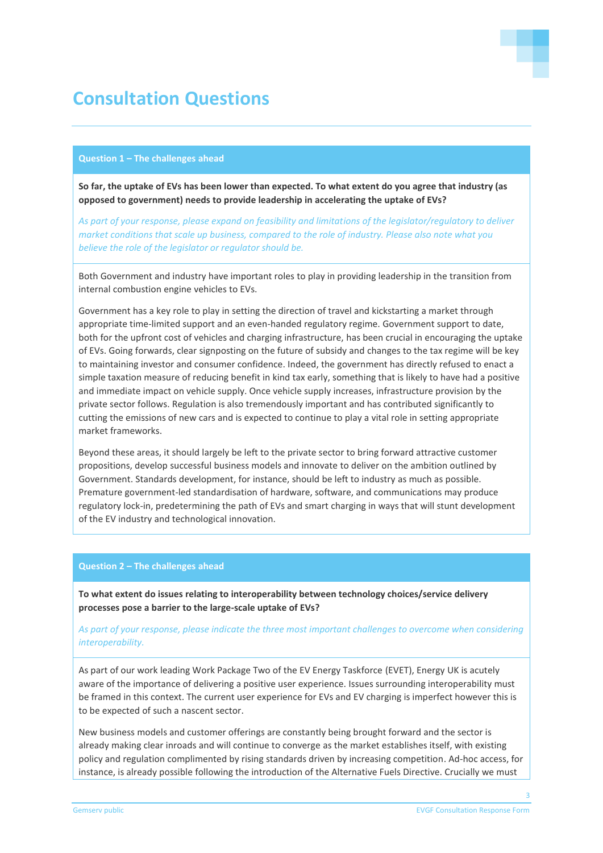

# **Consultation Questions**

#### **Question 1 – The challenges ahead**

**So far, the uptake of EVs has been lower than expected. To what extent do you agree that industry (as opposed to government) needs to provide leadership in accelerating the uptake of EVs?** 

*As part of your response, please expand on feasibility and limitations of the legislator/regulatory to deliver market conditions that scale up business, compared to the role of industry. Please also note what you believe the role of the legislator or regulator should be.*

Both Government and industry have important roles to play in providing leadership in the transition from internal combustion engine vehicles to EVs.

Government has a key role to play in setting the direction of travel and kickstarting a market through appropriate time-limited support and an even-handed regulatory regime. Government support to date, both for the upfront cost of vehicles and charging infrastructure, has been crucial in encouraging the uptake of EVs. Going forwards, clear signposting on the future of subsidy and changes to the tax regime will be key to maintaining investor and consumer confidence. Indeed, the government has directly refused to enact a simple taxation measure of reducing benefit in kind tax early, something that is likely to have had a positive and immediate impact on vehicle supply. Once vehicle supply increases, infrastructure provision by the private sector follows. Regulation is also tremendously important and has contributed significantly to cutting the emissions of new cars and is expected to continue to play a vital role in setting appropriate market frameworks.

Beyond these areas, it should largely be left to the private sector to bring forward attractive customer propositions, develop successful business models and innovate to deliver on the ambition outlined by Government. Standards development, for instance, should be left to industry as much as possible. Premature government-led standardisation of hardware, software, and communications may produce regulatory lock-in, predetermining the path of EVs and smart charging in ways that will stunt development of the EV industry and technological innovation.

#### **Question 2 – The challenges ahead**

**To what extent do issues relating to interoperability between technology choices/service delivery processes pose a barrier to the large-scale uptake of EVs?** 

# *As part of your response, please indicate the three most important challenges to overcome when considering interoperability.*

As part of our work leading Work Package Two of the EV Energy Taskforce (EVET), Energy UK is acutely aware of the importance of delivering a positive user experience. Issues surrounding interoperability must be framed in this context. The current user experience for EVs and EV charging is imperfect however this is to be expected of such a nascent sector.

New business models and customer offerings are constantly being brought forward and the sector is already making clear inroads and will continue to converge as the market establishes itself, with existing policy and regulation complimented by rising standards driven by increasing competition. Ad-hoc access, for instance, is already possible following the introduction of the Alternative Fuels Directive. Crucially we must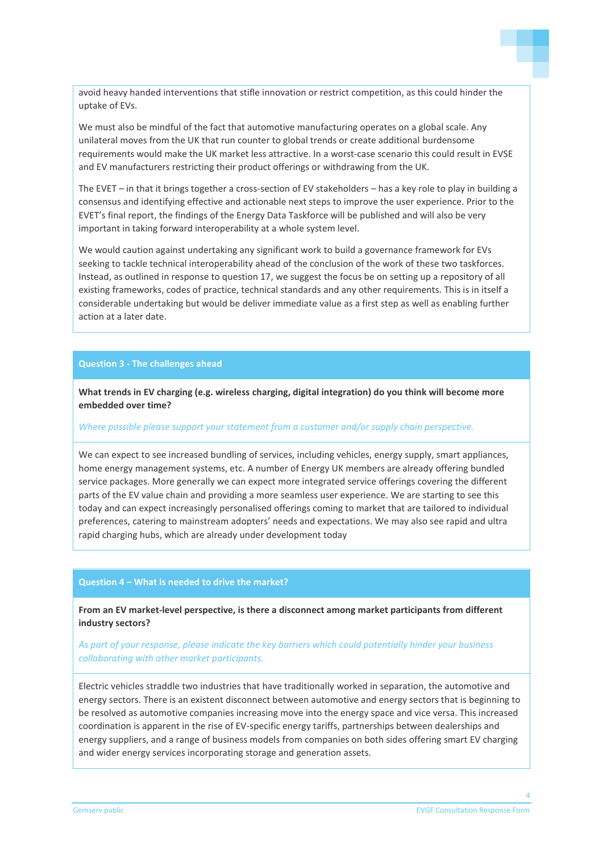avoid heavy handed interventions that stifle innovation or restrict competition, as this could hinder the uptake of EVs.

We must also be mindful of the fact that automotive manufacturing operates on a global scale. Any unilateral moves from the UK that run counter to global trends or create additional burdensome requirements would make the UK market less attractive. In a worst-case scenario this could result in EVSE and EV manufacturers restricting their product offerings or withdrawing from the UK.

The EVET – in that it brings together a cross-section of EV stakeholders – has a key role to play in building a consensus and identifying effective and actionable next steps to improve the user experience. Prior to the EVET's final report, the findings of the Energy Data Taskforce will be published and will also be very important in taking forward interoperability at a whole system level.

We would caution against undertaking any significant work to build a governance framework for EVs seeking to tackle technical interoperability ahead of the conclusion of the work of these two taskforces. Instead, as outlined in response to question 17, we suggest the focus be on setting up a repository of all existing frameworks, codes of practice, technical standards and any other requirements. This is in itself a considerable undertaking but would be deliver immediate value as a first step as well as enabling further action at a later date.

#### **Question 3 - The challenges ahead**

**What trends in EV charging (e.g. wireless charging, digital integration) do you think will become more embedded over time?**

## *Where possible please support your statement from a customer and/or supply chain perspective.*

We can expect to see increased bundling of services, including vehicles, energy supply, smart appliances, home energy management systems, etc. A number of Energy UK members are already offering bundled service packages. More generally we can expect more integrated service offerings covering the different parts of the EV value chain and providing a more seamless user experience. We are starting to see this today and can expect increasingly personalised offerings coming to market that are tailored to individual preferences, catering to mainstream adopters' needs and expectations. We may also see rapid and ultra rapid charging hubs, which are already under development today

#### **Question 4 – What is needed to drive the market?**

**From an EV market-level perspective, is there a disconnect among market participants from different industry sectors?** 

# *As part of your response, please indicate the key barriers which could potentially hinder your business collaborating with other market participants.*

Electric vehicles straddle two industries that have traditionally worked in separation, the automotive and energy sectors. There is an existent disconnect between automotive and energy sectors that is beginning to be resolved as automotive companies increasing move into the energy space and vice versa. This increased coordination is apparent in the rise of EV-specific energy tariffs, partnerships between dealerships and energy suppliers, and a range of business models from companies on both sides offering smart EV charging and wider energy services incorporating storage and generation assets.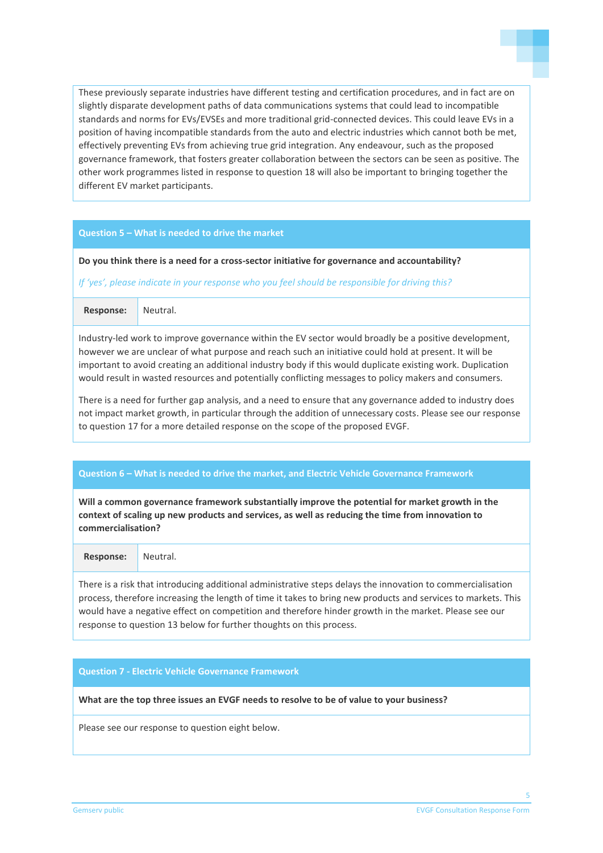

These previously separate industries have different testing and certification procedures, and in fact are on slightly disparate development paths of data communications systems that could lead to incompatible standards and norms for EVs/EVSEs and more traditional grid-connected devices. This could leave EVs in a position of having incompatible standards from the auto and electric industries which cannot both be met, effectively preventing EVs from achieving true grid integration. Any endeavour, such as the proposed governance framework, that fosters greater collaboration between the sectors can be seen as positive. The other work programmes listed in response to question 18 will also be important to bringing together the different EV market participants.

#### **Question 5 – What is needed to drive the market**

**Do you think there is a need for a cross-sector initiative for governance and accountability?**

*If 'yes', please indicate in your response who you feel should be responsible for driving this?*

**Response:** Neutral.

Industry-led work to improve governance within the EV sector would broadly be a positive development, however we are unclear of what purpose and reach such an initiative could hold at present. It will be important to avoid creating an additional industry body if this would duplicate existing work. Duplication would result in wasted resources and potentially conflicting messages to policy makers and consumers.

There is a need for further gap analysis, and a need to ensure that any governance added to industry does not impact market growth, in particular through the addition of unnecessary costs. Please see our response to question 17 for a more detailed response on the scope of the proposed EVGF.

#### **Question 6 – What is needed to drive the market, and Electric Vehicle Governance Framework**

**Will a common governance framework substantially improve the potential for market growth in the context of scaling up new products and services, as well as reducing the time from innovation to commercialisation?** 

**Response:** Neutral.

There is a risk that introducing additional administrative steps delays the innovation to commercialisation process, therefore increasing the length of time it takes to bring new products and services to markets. This would have a negative effect on competition and therefore hinder growth in the market. Please see our response to question 13 below for further thoughts on this process.

### **Question 7 - Electric Vehicle Governance Framework**

**What are the top three issues an EVGF needs to resolve to be of value to your business?**

Please see our response to question eight below.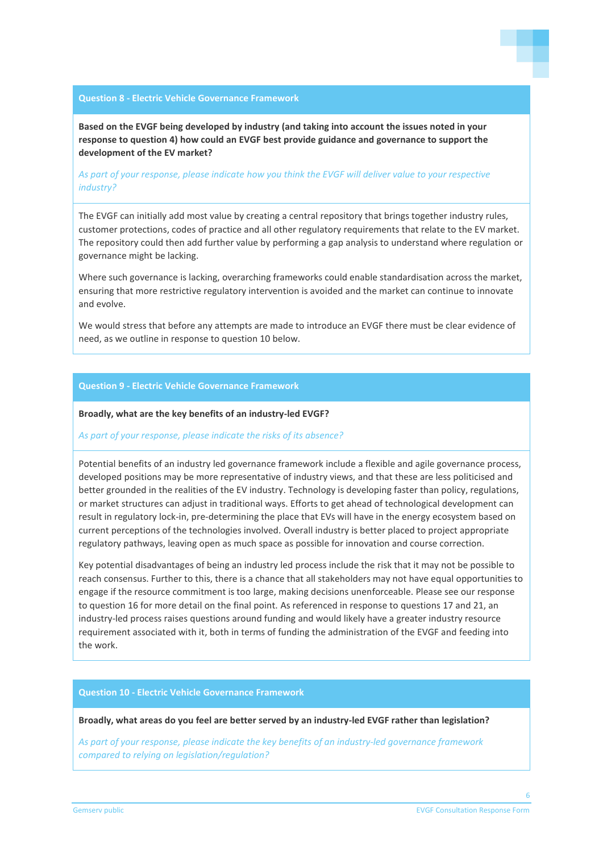

#### **Question 8 - Electric Vehicle Governance Framework**

**Based on the EVGF being developed by industry (and taking into account the issues noted in your response to question 4) how could an EVGF best provide guidance and governance to support the development of the EV market?** 

# *As part of your response, please indicate how you think the EVGF will deliver value to your respective industry?*

The EVGF can initially add most value by creating a central repository that brings together industry rules, customer protections, codes of practice and all other regulatory requirements that relate to the EV market. The repository could then add further value by performing a gap analysis to understand where regulation or governance might be lacking.

Where such governance is lacking, overarching frameworks could enable standardisation across the market, ensuring that more restrictive regulatory intervention is avoided and the market can continue to innovate and evolve.

We would stress that before any attempts are made to introduce an EVGF there must be clear evidence of need, as we outline in response to question 10 below.

#### **Question 9 - Electric Vehicle Governance Framework**

#### **Broadly, what are the key benefits of an industry-led EVGF?**

#### *As part of your response, please indicate the risks of its absence?*

Potential benefits of an industry led governance framework include a flexible and agile governance process, developed positions may be more representative of industry views, and that these are less politicised and better grounded in the realities of the EV industry. Technology is developing faster than policy, regulations, or market structures can adjust in traditional ways. Efforts to get ahead of technological development can result in regulatory lock-in, pre-determining the place that EVs will have in the energy ecosystem based on current perceptions of the technologies involved. Overall industry is better placed to project appropriate regulatory pathways, leaving open as much space as possible for innovation and course correction.

Key potential disadvantages of being an industry led process include the risk that it may not be possible to reach consensus. Further to this, there is a chance that all stakeholders may not have equal opportunities to engage if the resource commitment is too large, making decisions unenforceable. Please see our response to question 16 for more detail on the final point. As referenced in response to questions 17 and 21, an industry-led process raises questions around funding and would likely have a greater industry resource requirement associated with it, both in terms of funding the administration of the EVGF and feeding into the work.

# **Question 10 - Electric Vehicle Governance Framework**

#### **Broadly, what areas do you feel are better served by an industry-led EVGF rather than legislation?**

*As part of your response, please indicate the key benefits of an industry-led governance framework compared to relying on legislation/regulation?*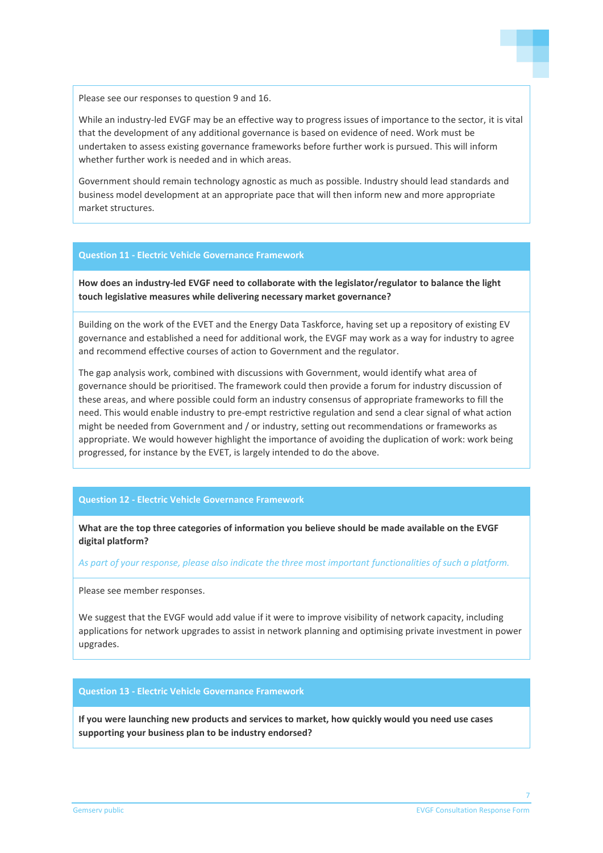

Please see our responses to question 9 and 16.

While an industry-led EVGF may be an effective way to progress issues of importance to the sector, it is vital that the development of any additional governance is based on evidence of need. Work must be undertaken to assess existing governance frameworks before further work is pursued. This will inform whether further work is needed and in which areas.

Government should remain technology agnostic as much as possible. Industry should lead standards and business model development at an appropriate pace that will then inform new and more appropriate market structures.

#### **Question 11 - Electric Vehicle Governance Framework**

**How does an industry-led EVGF need to collaborate with the legislator/regulator to balance the light touch legislative measures while delivering necessary market governance?**

Building on the work of the EVET and the Energy Data Taskforce, having set up a repository of existing EV governance and established a need for additional work, the EVGF may work as a way for industry to agree and recommend effective courses of action to Government and the regulator.

The gap analysis work, combined with discussions with Government, would identify what area of governance should be prioritised. The framework could then provide a forum for industry discussion of these areas, and where possible could form an industry consensus of appropriate frameworks to fill the need. This would enable industry to pre-empt restrictive regulation and send a clear signal of what action might be needed from Government and / or industry, setting out recommendations or frameworks as appropriate. We would however highlight the importance of avoiding the duplication of work: work being progressed, for instance by the EVET, is largely intended to do the above.

# **Question 12 - Electric Vehicle Governance Framework**

**What are the top three categories of information you believe should be made available on the EVGF digital platform?**

*As part of your response, please also indicate the three most important functionalities of such a platform.*

Please see member responses.

We suggest that the EVGF would add value if it were to improve visibility of network capacity, including applications for network upgrades to assist in network planning and optimising private investment in power upgrades.

#### **Question 13 - Electric Vehicle Governance Framework**

**If you were launching new products and services to market, how quickly would you need use cases supporting your business plan to be industry endorsed?**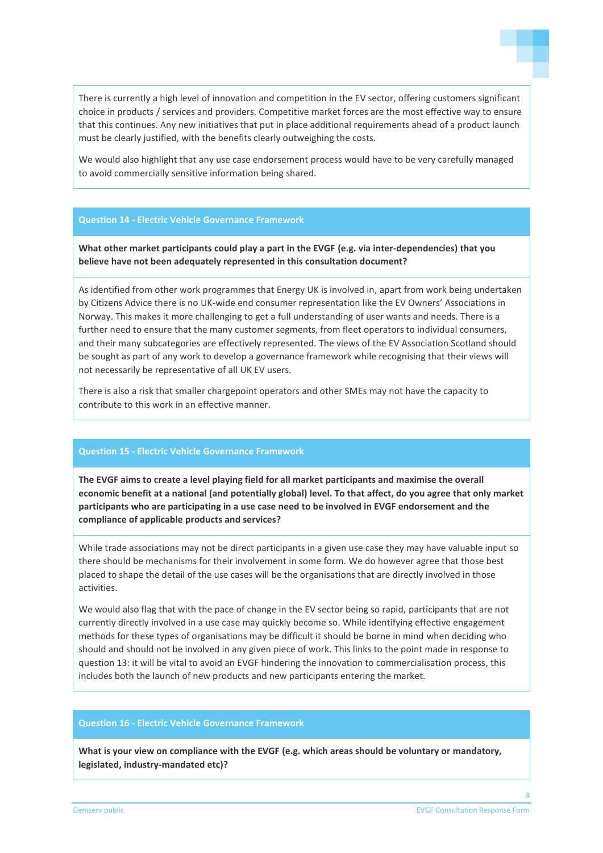

There is currently a high level of innovation and competition in the EV sector, offering customers significant choice in products / services and providers. Competitive market forces are the most effective way to ensure that this continues. Any new initiatives that put in place additional requirements ahead of a product launch must be clearly justified, with the benefits clearly outweighing the costs.

We would also highlight that any use case endorsement process would have to be very carefully managed to avoid commercially sensitive information being shared.

#### **Question 14 - Electric Vehicle Governance Framework**

**What other market participants could play a part in the EVGF (e.g. via inter-dependencies) that you believe have not been adequately represented in this consultation document?** 

As identified from other work programmes that Energy UK is involved in, apart from work being undertaken by Citizens Advice there is no UK-wide end consumer representation like the EV Owners' Associations in Norway. This makes it more challenging to get a full understanding of user wants and needs. There is a further need to ensure that the many customer segments, from fleet operators to individual consumers, and their many subcategories are effectively represented. The views of the EV Association Scotland should be sought as part of any work to develop a governance framework while recognising that their views will not necessarily be representative of all UK EV users.

There is also a risk that smaller chargepoint operators and other SMEs may not have the capacity to contribute to this work in an effective manner.

#### **Question 15 - Electric Vehicle Governance Framework**

**The EVGF aims to create a level playing field for all market participants and maximise the overall economic benefit at a national (and potentially global) level. To that affect, do you agree that only market participants who are participating in a use case need to be involved in EVGF endorsement and the compliance of applicable products and services?**

While trade associations may not be direct participants in a given use case they may have valuable input so there should be mechanisms for their involvement in some form. We do however agree that those best placed to shape the detail of the use cases will be the organisations that are directly involved in those activities.

We would also flag that with the pace of change in the EV sector being so rapid, participants that are not currently directly involved in a use case may quickly become so. While identifying effective engagement methods for these types of organisations may be difficult it should be borne in mind when deciding who should and should not be involved in any given piece of work. This links to the point made in response to question 13: it will be vital to avoid an EVGF hindering the innovation to commercialisation process, this includes both the launch of new products and new participants entering the market.

#### **Question 16 - Electric Vehicle Governance Framework**

**What is your view on compliance with the EVGF (e.g. which areas should be voluntary or mandatory, legislated, industry-mandated etc)?**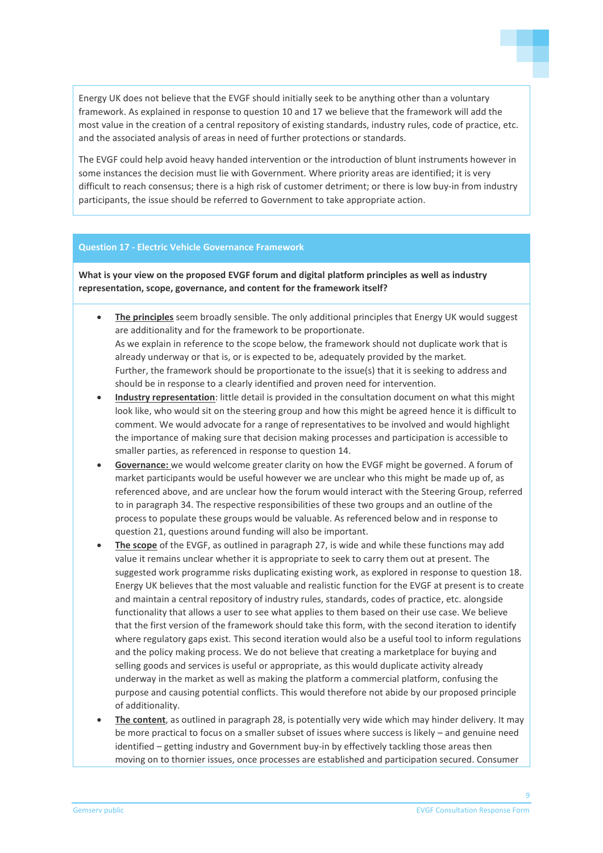Energy UK does not believe that the EVGF should initially seek to be anything other than a voluntary framework. As explained in response to question 10 and 17 we believe that the framework will add the most value in the creation of a central repository of existing standards, industry rules, code of practice, etc. and the associated analysis of areas in need of further protections or standards.

The EVGF could help avoid heavy handed intervention or the introduction of blunt instruments however in some instances the decision must lie with Government. Where priority areas are identified; it is very difficult to reach consensus; there is a high risk of customer detriment; or there is low buy-in from industry participants, the issue should be referred to Government to take appropriate action.

#### **Question 17 - Electric Vehicle Governance Framework**

**What is your view on the proposed EVGF forum and digital platform principles as well as industry representation, scope, governance, and content for the framework itself?**

- **The principles** seem broadly sensible. The only additional principles that Energy UK would suggest are additionality and for the framework to be proportionate. As we explain in reference to the scope below, the framework should not duplicate work that is already underway or that is, or is expected to be, adequately provided by the market. Further, the framework should be proportionate to the issue(s) that it is seeking to address and should be in response to a clearly identified and proven need for intervention.
- **Industry representation**: little detail is provided in the consultation document on what this might look like, who would sit on the steering group and how this might be agreed hence it is difficult to comment. We would advocate for a range of representatives to be involved and would highlight the importance of making sure that decision making processes and participation is accessible to smaller parties, as referenced in response to question 14.
- **Governance:** we would welcome greater clarity on how the EVGF might be governed. A forum of market participants would be useful however we are unclear who this might be made up of, as referenced above, and are unclear how the forum would interact with the Steering Group, referred to in paragraph 34. The respective responsibilities of these two groups and an outline of the process to populate these groups would be valuable. As referenced below and in response to question 21, questions around funding will also be important.
- **The scope** of the EVGF, as outlined in paragraph 27, is wide and while these functions may add value it remains unclear whether it is appropriate to seek to carry them out at present. The suggested work programme risks duplicating existing work, as explored in response to question 18. Energy UK believes that the most valuable and realistic function for the EVGF at present is to create and maintain a central repository of industry rules, standards, codes of practice, etc. alongside functionality that allows a user to see what applies to them based on their use case. We believe that the first version of the framework should take this form, with the second iteration to identify where regulatory gaps exist. This second iteration would also be a useful tool to inform regulations and the policy making process. We do not believe that creating a marketplace for buying and selling goods and services is useful or appropriate, as this would duplicate activity already underway in the market as well as making the platform a commercial platform, confusing the purpose and causing potential conflicts. This would therefore not abide by our proposed principle of additionality.
- **The content**, as outlined in paragraph 28, is potentially very wide which may hinder delivery. It may be more practical to focus on a smaller subset of issues where success is likely – and genuine need identified – getting industry and Government buy-in by effectively tackling those areas then moving on to thornier issues, once processes are established and participation secured. Consumer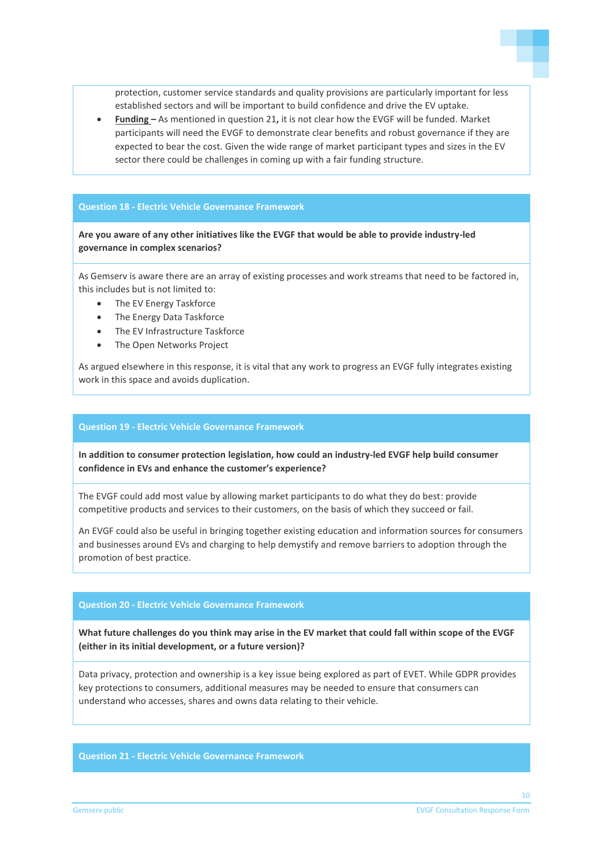protection, customer service standards and quality provisions are particularly important for less established sectors and will be important to build confidence and drive the EV uptake.

• **Funding –** As mentioned in question 21**,** it is not clear how the EVGF will be funded. Market participants will need the EVGF to demonstrate clear benefits and robust governance if they are expected to bear the cost. Given the wide range of market participant types and sizes in the EV sector there could be challenges in coming up with a fair funding structure.

# **Question 18 - Electric Vehicle Governance Framework**

**Are you aware of any other initiatives like the EVGF that would be able to provide industry-led governance in complex scenarios?**

As Gemserv is aware there are an array of existing processes and work streams that need to be factored in, this includes but is not limited to:

- The EV Energy Taskforce
- The Energy Data Taskforce
- The EV Infrastructure Taskforce
- The Open Networks Project

As argued elsewhere in this response, it is vital that any work to progress an EVGF fully integrates existing work in this space and avoids duplication.

#### **Question 19 - Electric Vehicle Governance Framework**

**In addition to consumer protection legislation, how could an industry-led EVGF help build consumer confidence in EVs and enhance the customer's experience?**

The EVGF could add most value by allowing market participants to do what they do best: provide competitive products and services to their customers, on the basis of which they succeed or fail.

An EVGF could also be useful in bringing together existing education and information sources for consumers and businesses around EVs and charging to help demystify and remove barriers to adoption through the promotion of best practice.

#### **Question 20 - Electric Vehicle Governance Framework**

**What future challenges do you think may arise in the EV market that could fall within scope of the EVGF (either in its initial development, or a future version)?** 

Data privacy, protection and ownership is a key issue being explored as part of EVET. While GDPR provides key protections to consumers, additional measures may be needed to ensure that consumers can understand who accesses, shares and owns data relating to their vehicle.

# **Question 21 - Electric Vehicle Governance Framework**